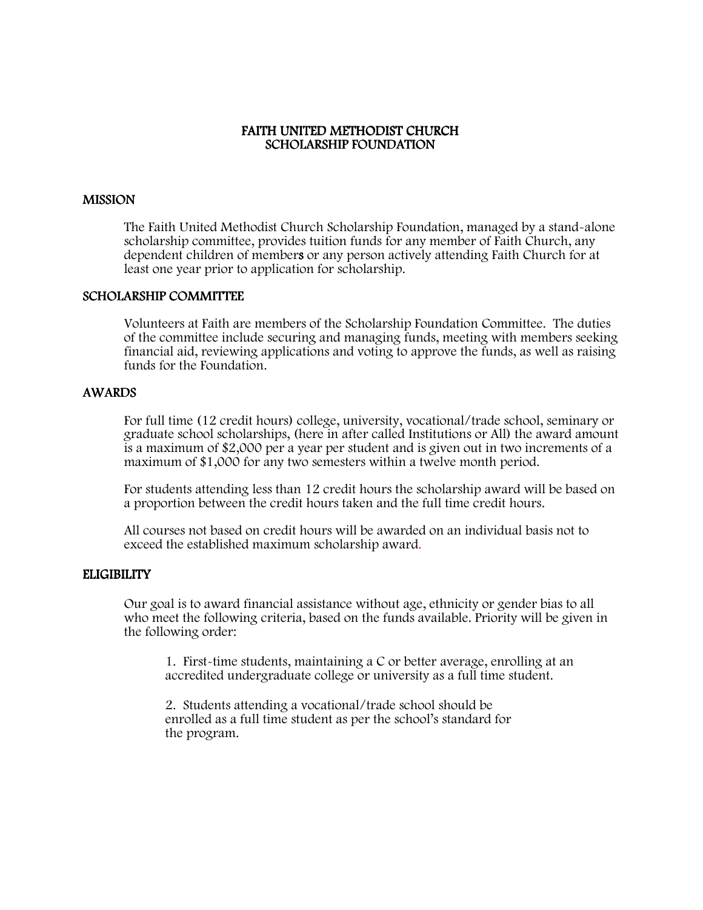## FAITH UNITED METHODIST CHURCH SCHOLARSHIP FOUNDATION

#### **MISSION**

The Faith United Methodist Church Scholarship Foundation, managed by a stand-alone scholarship committee, provides tuition funds for any member of Faith Church, any dependent children of members or any person actively attending Faith Church for at least one year prior to application for scholarship.

#### SCHOLARSHIP COMMITTEE

Volunteers at Faith are members of the Scholarship Foundation Committee. The duties of the committee include securing and managing funds, meeting with members seeking financial aid, reviewing applications and voting to approve the funds, as well as raising funds for the Foundation.

## AWARDS

 For full time (12 credit hours) college, university, vocational/trade school, seminary or graduate school scholarships, (here in after called Institutions or All) the award amount is a maximum of \$2,000 per a year per student and is given out in two increments of a maximum of \$1,000 for any two semesters within a twelve month period.

 For students attending less than 12 credit hours the scholarship award will be based on a proportion between the credit hours taken and the full time credit hours.

 All courses not based on credit hours will be awarded on an individual basis not to exceed the established maximum scholarship award.

## **ELIGIBILITY**

Our goal is to award financial assistance without age, ethnicity or gender bias to all who meet the following criteria, based on the funds available. Priority will be given in the following order:

1. First-time students, maintaining a C or better average, enrolling at an accredited undergraduate college or university as a full time student.

 2. Students attending a vocational/trade school should be enrolled as a full time student as per the school's standard for the program.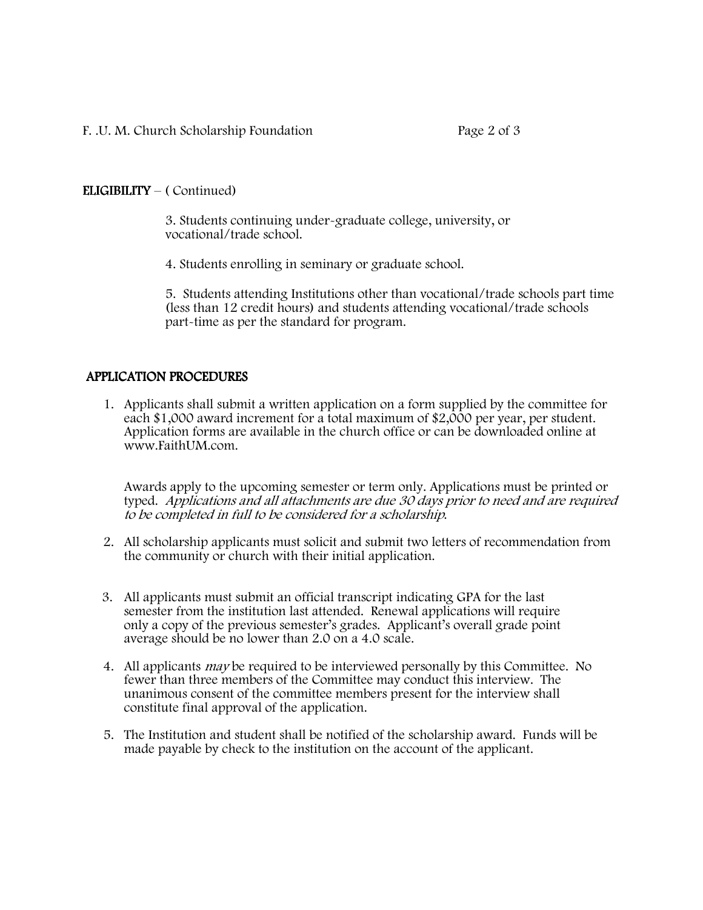# $ELIGIBILITY - (Continued)$

 3. Students continuing under-graduate college, university, or vocational/trade school.

4. Students enrolling in seminary or graduate school.

5. Students attending Institutions other than vocational/trade schools part time (less than 12 credit hours) and students attending vocational/trade schools part-time as per the standard for program.

# APPLICATION PROCEDURES

1. Applicants shall submit a written application on a form supplied by the committee for each \$1,000 award increment for a total maximum of \$2,000 per year, per student. Application forms are available in the church office or can be downloaded online at www.FaithUM.com.

Awards apply to the upcoming semester or term only. Applications must be printed or typed. Applications and all attachments are due 30 days prior to need and are required to be completed in full to be considered for a scholarship.

- 2. All scholarship applicants must solicit and submit two letters of recommendation from the community or church with their initial application.
- 3. All applicants must submit an official transcript indicating GPA for the last semester from the institution last attended. Renewal applications will require only a copy of the previous semester's grades. Applicant's overall grade point average should be no lower than 2.0 on a 4.0 scale.
- 4. All applicants may be required to be interviewed personally by this Committee. No fewer than three members of the Committee may conduct this interview. The unanimous consent of the committee members present for the interview shall constitute final approval of the application.
- 5. The Institution and student shall be notified of the scholarship award. Funds will be made payable by check to the institution on the account of the applicant.